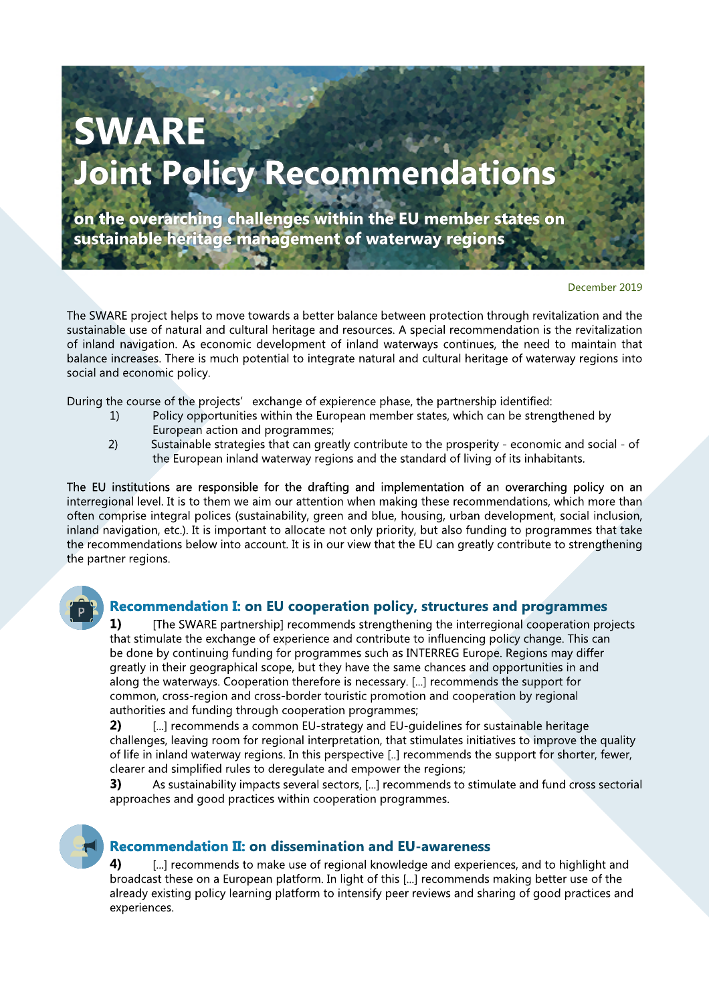# **SWARE Joint Policy Recommendations**

 **on the overarching challenges within the EU member states on sustainable heritage management of waterway regions**

December 2019

The SWARE project helps to move towards a better balance between protection through revitalization and the sustainable use of natural and cultural heritage and resources. A special recommendation is the revitalization of inland navigation. As economic development of inland waterways continues, the need to maintain that balance increases. There is much potential to integrate natural and cultural heritage of waterway regions into social and economic policy.

During the course of the projects' exchange of expierence phase, the partnership identified:

- 1) Policy opportunities within the European member states, which can be strengthened by European action and programmes;
- 2) Sustainable strategies that can greatly contribute to the prosperity economic and social of the European inland waterway regions and the standard of living of its inhabitants.

The EU institutions are responsible for the drafting and implementation of an overarching policy on an interregional level. It is to them we aim our attention when making these recommendations, which more than often comprise integral polices (sustainability, green and blue, housing, urban development, social inclusion, inland navigation, etc.). It is important to allocate not only priority, but also funding to programmes that take the recommendations below into account. It is in our view that the EU can greatly contribute to strengthening the partner regions.



### **Recommendation I: on EU cooperation policy, structures and programmes**

**1)** [The SWARE partnership] recommends strengthening the interregional cooperation projects that stimulate the exchange of experience and contribute to influencing policy change. This can be done by continuing funding for programmes such as INTERREG Europe. Regions may differ greatly in their geographical scope, but they have the same chances and opportunities in and along the waterways. Cooperation therefore is necessary. [...] recommends the support for common, cross-region and cross-border touristic promotion and cooperation by regional authorities and funding through cooperation programmes;

**2)** [...] recommends a common EU-strategy and EU-guidelines for sustainable heritage challenges, leaving room for regional interpretation, that stimulates initiatives to improve the quality of life in inland waterway regions. In this perspective [..] recommends the support for shorter, fewer, clearer and simplified rules to deregulate and empower the regions;

**3)** As sustainability impacts several sectors, [...] recommends to stimulate and fund cross sectorial approaches and good practices within cooperation programmes.

## **Recommendation II: on dissemination and EU-awareness**

**4)** [...] recommends to make use of regional knowledge and experiences, and to highlight and broadcast these on a European platform. In light of this [...] recommends making better use of the already existing policy learning platform to intensify peer reviews and sharing of good practices and experiences.